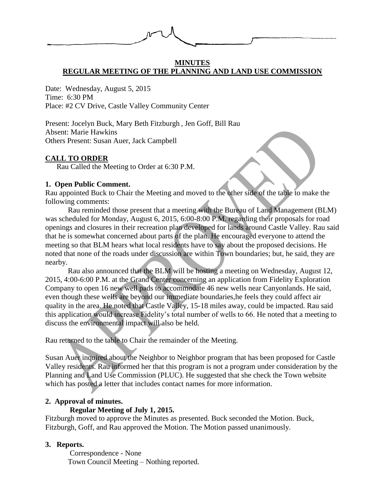

#### **MINUTES REGULAR MEETING OF THE PLANNING AND LAND USE COMMISSION**

Date: Wednesday, August 5, 2015 Time: 6:30 PM Place: #2 CV Drive, Castle Valley Community Center

Present: Jocelyn Buck, Mary Beth Fitzburgh , Jen Goff, Bill Rau Absent: Marie Hawkins Others Present: Susan Auer, Jack Campbell

### **CALL TO ORDER**

Rau Called the Meeting to Order at 6:30 P.M.

## **1. Open Public Comment.**

Rau appointed Buck to Chair the Meeting and moved to the other side of the table to make the following comments:

Rau reminded those present that a meeting with the Bureau of Land Management (BLM) was scheduled for Monday, August 6, 2015, 6:00-8:00 P.M. regarding their proposals for road openings and closures in their recreation plan developed for lands around Castle Valley. Rau said that he is somewhat concerned about parts of the plan. He encouraged everyone to attend the meeting so that BLM hears what local residents have to say about the proposed decisions. He noted that none of the roads under discussion are within Town boundaries; but, he said, they are nearby.

Rau also announced that the BLM will be hosting a meeting on Wednesday, August 12, 2015, 4:00-6:00 P.M. at the Grand Center concerning an application from Fidelity Exploration Company to open 16 new well pads to accommodate 46 new wells near Canyonlands. He said, even though these wells are beyond our immediate boundaries,he feels they could affect air quality in the area. He noted that Castle Valley, 15-18 miles away, could be impacted. Rau said this application would increase Fidelity's total number of wells to 66. He noted that a meeting to discuss the environmental impact will also be held.

Rau returned to the table to Chair the remainder of the Meeting.

Susan Auer inquired about the Neighbor to Neighbor program that has been proposed for Castle Valley residents. Rau informed her that this program is not a program under consideration by the Planning and Land Use Commission (PLUC). He suggested that she check the Town website which has posted a letter that includes contact names for more information.

# **2. Approval of minutes.**

# **Regular Meeting of July 1, 2015.**

Fitzburgh moved to approve the Minutes as presented. Buck seconded the Motion. Buck, Fitzburgh, Goff, and Rau approved the Motion. The Motion passed unanimously.

# **3. Reports.**

 Correspondence - None Town Council Meeting – Nothing reported.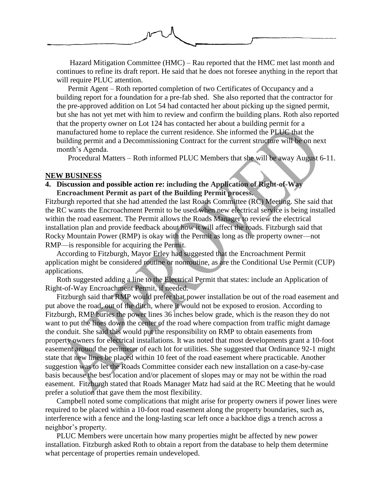

 Hazard Mitigation Committee (HMC) – Rau reported that the HMC met last month and continues to refine its draft report. He said that he does not foresee anything in the report that will require PLUC attention.

Permit Agent – Roth reported completion of two Certificates of Occupancy and a building report for a foundation for a pre-fab shed. She also reported that the contractor for the pre-approved addition on Lot 54 had contacted her about picking up the signed permit, but she has not yet met with him to review and confirm the building plans. Roth also reported that the property owner on Lot 124 has contacted her about a building permit for a manufactured home to replace the current residence. She informed the PLUC that the building permit and a Decommissioning Contract for the current structure will be on next month's Agenda.

Procedural Matters – Roth informed PLUC Members that she will be away August 6-11.

#### **NEW BUSINESS**

## **4. Discussion and possible action re: including the Application of Right-of-Way Encroachment Permit as part of the Building Permit process.**

Fitzburgh reported that she had attended the last Roads Committee (RC) Meeting. She said that the RC wants the Encroachment Permit to be used when new electrical service is being installed within the road easement. The Permit allows the Roads Manager to review the electrical installation plan and provide feedback about how it will affect the roads. Fitzburgh said that Rocky Mountain Power (RMP) is okay with the Permit as long as the property owner—not RMP—is responsible for acquiring the Permit.

According to Fitzburgh, Mayor Erley had suggested that the Encroachment Permit application might be considered routine or nonroutine, as are the Conditional Use Permit (CUP) applications.

Roth suggested adding a line to the Electrical Permit that states: include an Application of Right-of-Way Encroachment Permit, if needed.

Fitzburgh said that RMP would prefer that power installation be out of the road easement and put above the road, out of the ditch, where it would not be exposed to erosion. According to Fitzburgh, RMP buries the power lines 36 inches below grade, which is the reason they do not want to put the lines down the center of the road where compaction from traffic might damage the conduit. She said this would put the responsibility on RMP to obtain easements from property owners for electrical installations. It was noted that most developments grant a 10-foot easement around the perimeter of each lot for utilities. She suggested that Ordinance 92-1 might state that new lines be placed within 10 feet of the road easement where practicable. Another suggestion was to let the Roads Committee consider each new installation on a case-by-case basis because the best location and/or placement of slopes may or may not be within the road easement. Fitzburgh stated that Roads Manager Matz had said at the RC Meeting that he would prefer a solution that gave them the most flexibility.

Campbell noted some complications that might arise for property owners if power lines were required to be placed within a 10-foot road easement along the property boundaries, such as, interference with a fence and the long-lasting scar left once a backhoe digs a trench across a neighbor's property.

PLUC Members were uncertain how many properties might be affected by new power installation. Fitzburgh asked Roth to obtain a report from the database to help them determine what percentage of properties remain undeveloped.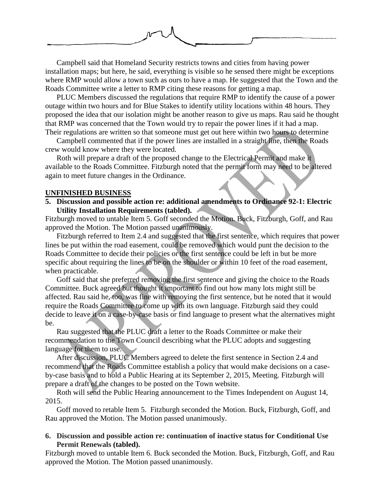

Campbell said that Homeland Security restricts towns and cities from having power installation maps; but here, he said, everything is visible so he sensed there might be exceptions where RMP would allow a town such as ours to have a map. He suggested that the Town and the Roads Committee write a letter to RMP citing these reasons for getting a map.

PLUC Members discussed the regulations that require RMP to identify the cause of a power outage within two hours and for Blue Stakes to identify utility locations within 48 hours. They proposed the idea that our isolation might be another reason to give us maps. Rau said he thought that RMP was concerned that the Town would try to repair the power lines if it had a map. Their regulations are written so that someone must get out here within two hours to determine

Campbell commented that if the power lines are installed in a straight line, then the Roads crew would know where they were located.

Roth will prepare a draft of the proposed change to the Electrical Permit and make it available to the Roads Committee. Fitzburgh noted that the permit form may need to be altered again to meet future changes in the Ordinance.

#### **UNFINISHED BUSINESS**

**5. Discussion and possible action re: additional amendments to Ordinance 92-1: Electric Utility Installation Requirements (tabled).** 

Fitzburgh moved to untable Item 5. Goff seconded the Motion. Buck, Fitzburgh, Goff, and Rau approved the Motion. The Motion passed unanimously.

Fitzburgh referred to Item 2.4 and suggested that the first sentence, which requires that power lines be put within the road easement, could be removed which would punt the decision to the Roads Committee to decide their policies or the first sentence could be left in but be more specific about requiring the lines to be on the shoulder or within 10 feet of the road easement, when practicable.

Goff said that she preferred removing the first sentence and giving the choice to the Roads Committee. Buck agreed but thought it important to find out how many lots might still be affected. Rau said he, too, was fine with removing the first sentence, but he noted that it would require the Roads Committee to come up with its own language. Fitzburgh said they could decide to leave it on a case-by-case basis or find language to present what the alternatives might be.

Rau suggested that the PLUC draft a letter to the Roads Committee or make their recommendation to the Town Council describing what the PLUC adopts and suggesting language for them to use.

After discussion, PLUC Members agreed to delete the first sentence in Section 2.4 and recommend that the Roads Committee establish a policy that would make decisions on a caseby-case basis and to hold a Public Hearing at its September 2, 2015, Meeting. Fitzburgh will prepare a draft of the changes to be posted on the Town website.

Roth will send the Public Hearing announcement to the Times Independent on August 14, 2015.

Goff moved to retable Item 5. Fitzburgh seconded the Motion. Buck, Fitzburgh, Goff, and Rau approved the Motion. The Motion passed unanimously.

**6. Discussion and possible action re: continuation of inactive status for Conditional Use Permit Renewals (tabled).**

Fitzburgh moved to untable Item 6. Buck seconded the Motion. Buck, Fitzburgh, Goff, and Rau approved the Motion. The Motion passed unanimously.